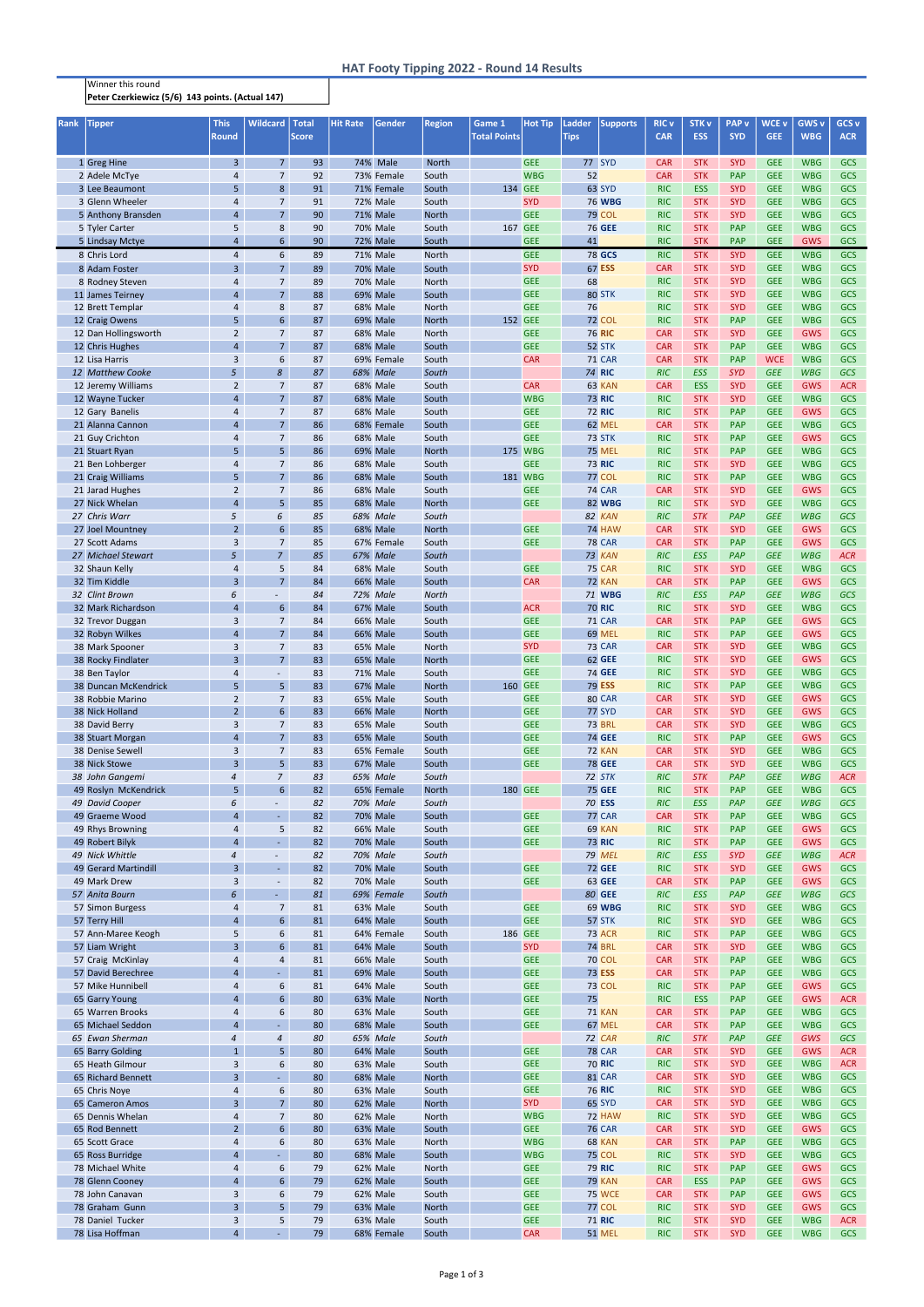## Winner this round Peter Czerkiewicz (5/6) 143 points. (Actual 147)

| Rank | <b>Tipper</b>                           | <b>This</b><br><b>Round</b>               | <b>Wildcard</b>                            | <b>Total</b><br><b>Score</b> | <b>Hit Rate</b> | Gender                             | <b>Region</b>         | Game 1<br><b>Total Points</b> | <b>Hot Tip</b>           | <b>Ladder</b><br><b>Tips</b> | <b>Supports</b>                | <b>RIC v</b><br><b>CAR</b> | <b>STK v</b><br><b>ESS</b> | <b>PAP</b> v<br><b>SYD</b> | <b>WCE v</b><br><b>GEE</b> | <b>GWS v</b><br><b>WBG</b> | GCS <sub>v</sub><br><b>ACR</b> |
|------|-----------------------------------------|-------------------------------------------|--------------------------------------------|------------------------------|-----------------|------------------------------------|-----------------------|-------------------------------|--------------------------|------------------------------|--------------------------------|----------------------------|----------------------------|----------------------------|----------------------------|----------------------------|--------------------------------|
|      |                                         |                                           |                                            |                              |                 |                                    |                       |                               |                          |                              |                                |                            |                            |                            |                            |                            |                                |
|      | 1 Greg Hine                             | $\mathbf{3}$                              | 7 <sup>1</sup>                             | 93                           |                 | 74% Male                           | <b>North</b>          |                               | <b>GEE</b>               |                              | 77 SYD                         | <b>CAR</b>                 | <b>STK</b>                 | <b>SYD</b>                 | <b>GEE</b>                 | <b>WBG</b>                 | <b>GCS</b>                     |
|      | 2 Adele McTye                           | 4                                         | $\overline{7}$                             | 92                           |                 | 73% Female                         | South                 |                               | <b>WBG</b>               | 52                           |                                | <b>CAR</b>                 | <b>STK</b>                 | <b>PAP</b>                 | <b>GEE</b>                 | <b>WBG</b>                 | <b>GCS</b>                     |
|      | 3 Lee Beaumont                          | 5                                         | 8                                          | 91                           |                 | 71% Female                         | South                 | 134 GEE                       |                          |                              | 63 SYD                         | <b>RIC</b>                 | <b>ESS</b>                 | <b>SYD</b>                 | <b>GEE</b>                 | <b>WBG</b>                 | GCS                            |
|      | 3 Glenn Wheeler                         | 4                                         | $\overline{7}$                             | 91                           |                 | <b>72% Male</b>                    | South                 |                               | <b>SYD</b>               |                              | <b>76 WBG</b>                  | <b>RIC</b>                 | <b>STK</b>                 | <b>SYD</b>                 | <b>GEE</b>                 | <b>WBG</b>                 | GCS                            |
|      | 5 Anthony Bransden                      | $\overline{4}$                            | 7 <sup>1</sup>                             | 90                           |                 | 71% Male                           | <b>North</b>          |                               | <b>GEE</b>               |                              | <b>79 COL</b>                  | <b>RIC</b>                 | <b>STK</b>                 | <b>SYD</b>                 | <b>GEE</b>                 | <b>WBG</b>                 | GCS                            |
|      | 5 Tyler Carter                          | 5<br>$\overline{4}$                       | 8<br>$6\overline{6}$                       | 90<br>90                     |                 | 70% Male<br>72% Male               | South<br>South        | 167 GEE                       | <b>GEE</b>               | 41                           | <b>76 GEE</b>                  | <b>RIC</b><br><b>RIC</b>   | <b>STK</b><br><b>STK</b>   | PAP<br>PAP                 | <b>GEE</b><br><b>GEE</b>   | <b>WBG</b><br><b>GWS</b>   | GCS<br>GCS                     |
|      | 5 Lindsay Mctye<br>8 Chris Lord         | 4                                         | 6                                          | 89                           |                 | <b>71% Male</b>                    | North                 |                               | <b>GEE</b>               |                              | <b>78 GCS</b>                  | <b>RIC</b>                 | <b>STK</b>                 | <b>SYD</b>                 | <b>GEE</b>                 | <b>WBG</b>                 | GCS                            |
|      | 8 Adam Foster                           | 3                                         | 7 <sup>1</sup>                             | 89                           |                 | <b>70% Male</b>                    | South                 |                               | <b>SYD</b>               |                              | 67 ESS                         | <b>CAR</b>                 | <b>STK</b>                 | <b>SYD</b>                 | <b>GEE</b>                 | <b>WBG</b>                 | GCS                            |
|      | 8 Rodney Steven                         | 4                                         | $\overline{7}$                             | 89                           |                 | <b>70% Male</b>                    | <b>North</b>          |                               | <b>GEE</b>               | 68                           |                                | <b>RIC</b>                 | <b>STK</b>                 | <b>SYD</b>                 | <b>GEE</b>                 | <b>WBG</b>                 | GCS                            |
|      | 11 James Teirney                        | $\overline{4}$                            | 7 <sup>1</sup>                             | 88                           |                 | 69% Male                           | South                 |                               | <b>GEE</b>               |                              | 80 STK                         | <b>RIC</b>                 | <b>STK</b>                 | <b>SYD</b>                 | <b>GEE</b>                 | <b>WBG</b>                 | GCS                            |
|      | 12 Brett Templar                        | 4                                         | 8                                          | 87                           |                 | 68% Male                           | <b>North</b>          |                               | <b>GEE</b>               | 76                           |                                | <b>RIC</b>                 | <b>STK</b>                 | <b>SYD</b>                 | <b>GEE</b>                 | <b>WBG</b>                 | GCS                            |
|      | 12 Craig Owens                          | 5                                         | 6                                          | 87                           |                 | 69% Male                           | <b>North</b>          | 152 GEE                       |                          |                              | <b>72 COL</b>                  | <b>RIC</b>                 | <b>STK</b>                 | <b>PAP</b>                 | <b>GEE</b>                 | <b>WBG</b>                 | GCS                            |
|      | 12 Dan Hollingsworth                    | $\overline{2}$                            | $\overline{7}$                             | 87                           |                 | <b>68% Male</b>                    | North                 |                               | <b>GEE</b>               |                              | <b>76 RIC</b>                  | <b>CAR</b>                 | <b>STK</b>                 | <b>SYD</b>                 | <b>GEE</b>                 | <b>GWS</b>                 | GCS                            |
|      | 12 Chris Hughes                         | $\overline{4}$                            | $\overline{7}$                             | 87                           |                 | <b>68% Male</b>                    | South                 |                               | <b>GEE</b>               |                              | 52 STK                         | <b>CAR</b>                 | <b>STK</b>                 | PAP                        | <b>GEE</b>                 | <b>WBG</b>                 | GCS                            |
|      | 12 Lisa Harris                          | 3                                         | 6                                          | 87                           |                 | 69% Female                         | South                 |                               | <b>CAR</b>               |                              | <b>71 CAR</b>                  | <b>CAR</b>                 | <b>STK</b>                 | <b>PAP</b>                 | <b>WCE</b>                 | <b>WBG</b>                 | GCS                            |
|      | 12 Matthew Cooke                        | 5 <sup>5</sup>                            | 8                                          | 87                           |                 | 68% Male                           | South                 |                               |                          |                              | <b>74 RIC</b>                  | RIC                        | <b>ESS</b>                 | <b>SYD</b>                 | <b>GEE</b>                 | <b>WBG</b>                 | GCS                            |
|      | 12 Jeremy Williams<br>12 Wayne Tucker   | $\overline{2}$<br>$\overline{\mathbf{r}}$ | $\overline{7}$<br>7 <sup>7</sup>           | 87<br>87                     |                 | 68% Male<br><b>68% Male</b>        | South<br>South        |                               | <b>CAR</b><br><b>WBG</b> |                              | 63 KAN<br><b>73 RIC</b>        | <b>CAR</b><br><b>RIC</b>   | <b>ESS</b><br><b>STK</b>   | <b>SYD</b><br><b>SYD</b>   | <b>GEE</b><br><b>GEE</b>   | <b>GWS</b><br><b>WBG</b>   | <b>ACR</b><br>GCS              |
|      | 12 Gary Banelis                         | 4                                         | 7 <sup>1</sup>                             | 87                           |                 | 68% Male                           | South                 |                               | <b>GEE</b>               |                              | <b>72 RIC</b>                  | <b>RIC</b>                 | <b>STK</b>                 | PAP                        | <b>GEE</b>                 | <b>GWS</b>                 | GCS                            |
|      | 21 Alanna Cannon                        | $\overline{4}$                            | 7 <sup>1</sup>                             | 86                           |                 | 68% Female                         | South                 |                               | <b>GEE</b>               |                              | 62 MEL                         | <b>CAR</b>                 | <b>STK</b>                 | PAP                        | <b>GEE</b>                 | <b>WBG</b>                 | <b>GCS</b>                     |
|      | 21 Guy Crichton                         | 4                                         | $\overline{7}$                             | 86                           |                 | 68% Male                           | South                 |                               | <b>GEE</b>               |                              | 73 STK                         | <b>RIC</b>                 | <b>STK</b>                 | PAP                        | <b>GEE</b>                 | <b>GWS</b>                 | <b>GCS</b>                     |
|      | 21 Stuart Ryan                          | 5 <sup>5</sup>                            | 5 <sup>1</sup>                             | 86                           |                 | <b>69% Male</b>                    | <b>North</b>          |                               | 175 WBG                  |                              | <b>75 MEL</b>                  | <b>RIC</b>                 | <b>STK</b>                 | PAP                        | <b>GEE</b>                 | <b>WBG</b>                 | <b>GCS</b>                     |
|      | 21 Ben Lohberger                        | 4                                         | $\overline{7}$                             | 86                           |                 | <b>68% Male</b>                    | South                 |                               | <b>GEE</b>               |                              | <b>73 RIC</b>                  | <b>RIC</b>                 | <b>STK</b>                 | <b>SYD</b>                 | <b>GEE</b>                 | <b>WBG</b>                 | GCS                            |
|      | 21 Craig Williams                       | 5 <sup>5</sup>                            | 7 <sup>1</sup>                             | 86                           |                 | <b>68% Male</b>                    | South                 |                               | 181 WBG                  |                              | <b>77 COL</b>                  | <b>RIC</b>                 | <b>STK</b>                 | PAP                        | <b>GEE</b>                 | <b>WBG</b>                 | GCS                            |
|      | 21 Jarad Hughes                         | $\overline{2}$                            | $\overline{7}$                             | 86                           |                 | <b>68% Male</b>                    | South                 |                               | <b>GEE</b>               |                              | <b>74 CAR</b>                  | <b>CAR</b>                 | <b>STK</b>                 | <b>SYD</b>                 | <b>GEE</b>                 | <b>GWS</b>                 | GCS                            |
|      | 27 Nick Whelan                          | $\overline{4}$                            | 5 <sup>1</sup>                             | 85                           |                 | <b>68% Male</b>                    | <b>North</b>          |                               | <b>GEE</b>               |                              | <b>82 WBG</b>                  | <b>RIC</b>                 | <b>STK</b>                 | <b>SYD</b>                 | <b>GEE</b>                 | <b>WBG</b>                 | GCS                            |
|      | 27 Chris Warr                           | 5                                         | 6<br>6                                     | 85                           |                 | <b>68% Male</b>                    | South<br><b>North</b> |                               |                          |                              | 82 KAN<br><b>74 HAW</b>        | <b>RIC</b>                 | <b>STK</b><br><b>STK</b>   | PAP<br><b>SYD</b>          | <b>GEE</b><br><b>GEE</b>   | <b>WBG</b><br><b>GWS</b>   | GCS<br>GCS                     |
|      | 27 Joel Mountney<br>27 Scott Adams      | $\overline{2}$<br>3                       | $\overline{7}$                             | 85<br>85                     |                 | 68% Male<br>67% Female             | South                 |                               | <b>GEE</b><br><b>GEE</b> |                              | <b>78 CAR</b>                  | <b>CAR</b><br><b>CAR</b>   | <b>STK</b>                 | PAP                        | <b>GEE</b>                 | <b>GWS</b>                 | GCS                            |
|      | 27 Michael Stewart                      | 5 <sup>5</sup>                            | $\overline{7}$                             | 85                           |                 | 67% Male                           | South                 |                               |                          |                              | 73 KAN                         | <b>RIC</b>                 | <b>ESS</b>                 | PAP                        | <b>GEE</b>                 | <b>WBG</b>                 | <b>ACR</b>                     |
|      | 32 Shaun Kelly                          | 4                                         | 5                                          | 84                           |                 | 68% Male                           | South                 |                               | <b>GEE</b>               |                              | <b>75 CAR</b>                  | <b>RIC</b>                 | <b>STK</b>                 | <b>SYD</b>                 | <b>GEE</b>                 | <b>WBG</b>                 | GCS                            |
|      | 32 Tim Kiddle                           | 3                                         | 7 <sup>1</sup>                             | 84                           |                 | <b>66% Male</b>                    | South                 |                               | <b>CAR</b>               |                              | <b>72 KAN</b>                  | <b>CAR</b>                 | <b>STK</b>                 | PAP                        | <b>GEE</b>                 | <b>GWS</b>                 | GCS                            |
|      | 32 Clint Brown                          | 6                                         | $\overline{\phantom{a}}$                   | 84                           |                 | 72% Male                           | <b>North</b>          |                               |                          |                              | 71 WBG                         | <b>RIC</b>                 | <b>ESS</b>                 | PAP                        | <b>GEE</b>                 | <b>WBG</b>                 | GCS                            |
|      | 32 Mark Richardson                      | $\overline{4}$                            | 6                                          | 84                           |                 | <b>67% Male</b>                    | South                 |                               | <b>ACR</b>               |                              | <b>70 RIC</b>                  | <b>RIC</b>                 | <b>STK</b>                 | <b>SYD</b>                 | <b>GEE</b>                 | <b>WBG</b>                 | GCS                            |
|      | 32 Trevor Duggan                        | 3                                         | $\overline{7}$                             | 84                           |                 | <b>66% Male</b>                    | South                 |                               | <b>GEE</b>               |                              | <b>71 CAR</b>                  | <b>CAR</b>                 | <b>STK</b>                 | <b>PAP</b>                 | <b>GEE</b>                 | <b>GWS</b>                 | <b>GCS</b>                     |
|      | 32 Robyn Wilkes                         | $\overline{4}$                            | 7 <sup>1</sup>                             | 84                           |                 | <b>66% Male</b>                    | South                 |                               | <b>GEE</b>               |                              | <b>69 MEL</b>                  | <b>RIC</b>                 | <b>STK</b>                 | <b>PAP</b>                 | <b>GEE</b>                 | <b>GWS</b>                 | <b>GCS</b>                     |
|      | 38 Mark Spooner                         | 3                                         | 7 <sup>1</sup>                             | 83                           |                 | 65% Male                           | North                 |                               | <b>SYD</b>               |                              | 73 CAR                         | <b>CAR</b>                 | <b>STK</b>                 | <b>SYD</b>                 | <b>GEE</b>                 | <b>WBG</b>                 | <b>GCS</b>                     |
|      | 38 Rocky Findlater<br>38 Ben Taylor     | 3<br>4                                    | 7 <sup>1</sup><br>$\overline{\phantom{a}}$ | 83<br>83                     |                 | <b>65% Male</b><br><b>71% Male</b> | <b>North</b><br>South |                               | <b>GEE</b><br><b>GEE</b> |                              | <b>62 GEE</b><br><b>74 GEE</b> | <b>RIC</b><br><b>RIC</b>   | <b>STK</b><br><b>STK</b>   | <b>SYD</b><br><b>SYD</b>   | <b>GEE</b><br><b>GEE</b>   | <b>GWS</b><br><b>WBG</b>   | GCS<br>GCS                     |
|      | 38 Duncan McKendrick                    | 5                                         | 5 <sup>1</sup>                             | 83                           |                 | <b>67% Male</b>                    | <b>North</b>          | 160 GEE                       |                          |                              | <b>79 ESS</b>                  | <b>RIC</b>                 | <b>STK</b>                 | <b>PAP</b>                 | <b>GEE</b>                 | <b>WBG</b>                 | GCS                            |
|      | 38 Robbie Marino                        | $\overline{2}$                            | $\overline{7}$                             | 83                           |                 | <b>65% Male</b>                    | South                 |                               | <b>GEE</b>               |                              | 80 CAR                         | <b>CAR</b>                 | <b>STK</b>                 | <b>SYD</b>                 | <b>GEE</b>                 | <b>GWS</b>                 | GCS                            |
|      | 38 Nick Holland                         | $\overline{2}$                            | $6\overline{6}$                            | 83                           |                 | <b>66% Male</b>                    | <b>North</b>          |                               | <b>GEE</b>               |                              | <b>77 SYD</b>                  | <b>CAR</b>                 | <b>STK</b>                 | <b>SYD</b>                 | <b>GEE</b>                 | <b>GWS</b>                 | GCS                            |
|      | 38 David Berry                          | 3                                         | 7 <sup>1</sup>                             | 83                           |                 | 65% Male                           | South                 |                               | <b>GEE</b>               |                              | <b>73 BRL</b>                  | <b>CAR</b>                 | <b>STK</b>                 | <b>SYD</b>                 | <b>GEE</b>                 | <b>WBG</b>                 | GCS                            |
|      | 38 Stuart Morgan                        | $\overline{4}$                            | 7 <sup>7</sup>                             | 83                           |                 | <b>65% Male</b>                    | South                 |                               | <b>GEE</b>               |                              | <b>74 GEE</b>                  | <b>RIC</b>                 | <b>STK</b>                 | <b>PAP</b>                 | <b>GEE</b>                 | <b>GWS</b>                 | <b>GCS</b>                     |
|      | 38 Denise Sewell                        | 3                                         | $\overline{7}$                             | 83                           |                 | 65% Female                         | South                 |                               | <b>GEE</b>               |                              | 72 KAN                         | <b>CAR</b>                 | <b>STK</b>                 | <b>SYD</b>                 | <b>GEE</b>                 | <b>WBG</b>                 | GCS                            |
|      | 38 Nick Stowe                           | $\overline{3}$                            | 5 <sup>1</sup>                             | 83                           |                 | 67% Male                           | South                 |                               | <b>GEE</b>               |                              | <b>78 GEE</b>                  | <b>CAR</b>                 | <b>STK</b>                 | <b>SYD</b>                 | <b>GEE</b>                 | <b>WBG</b>                 | GCS                            |
|      | 38 John Gangemi                         | $\overline{4}$                            | $\overline{7}$                             | 83                           |                 | 65% Male                           | South                 |                               |                          |                              | 72 STK                         | <b>RIC</b>                 | <b>STK</b>                 | PAP                        | <b>GEE</b>                 | <b>WBG</b>                 | <b>ACR</b>                     |
|      | 49 Roslyn McKendrick<br>49 David Cooper | 5<br>6                                    | $6\phantom{a}$<br>$\blacksquare$           | 82<br>82                     |                 | 65% Female<br>70% Male             | <b>North</b><br>South | 180 GEE                       |                          |                              | <b>75 GEE</b><br><b>70 ESS</b> | <b>RIC</b><br>RIC          | <b>STK</b><br><b>ESS</b>   | <b>PAP</b><br>PAP          | <b>GEE</b><br><b>GEE</b>   | <b>WBG</b><br><b>WBG</b>   | <b>GCS</b><br><b>GCS</b>       |
|      | 49 Graeme Wood                          | $\overline{4}$                            | $\blacksquare$                             | 82                           |                 | <b>70% Male</b>                    | South                 |                               | <b>GEE</b>               |                              | 77 CAR                         | <b>CAR</b>                 | <b>STK</b>                 | PAP                        | <b>GEE</b>                 | <b>WBG</b>                 | <b>GCS</b>                     |
|      | 49 Rhys Browning                        | $\overline{4}$                            | 5                                          | 82                           |                 | 66% Male                           | South                 |                               | <b>GEE</b>               |                              | 69 KAN                         | <b>RIC</b>                 | <b>STK</b>                 | <b>PAP</b>                 | <b>GEE</b>                 | GWS                        | <b>GCS</b>                     |
|      | 49 Robert Bilyk                         | $\overline{4}$                            | ä,                                         | 82                           |                 | <b>70% Male</b>                    | South                 |                               | <b>GEE</b>               |                              | <b>73 RIC</b>                  | <b>RIC</b>                 | <b>STK</b>                 | PAP                        | <b>GEE</b>                 | GWS                        | <b>GCS</b>                     |
|      | 49 Nick Whittle                         | $\sqrt{4}$                                | $\overline{\phantom{a}}$                   | 82                           |                 | 70% Male                           | South                 |                               |                          |                              | 79 MEL                         | <b>RIC</b>                 | <b>ESS</b>                 | <b>SYD</b>                 | <b>GEE</b>                 | <b>WBG</b>                 | <b>ACR</b>                     |
|      | 49 Gerard Martindill                    | 3                                         | $\omega$                                   | 82                           |                 | <b>70% Male</b>                    | South                 |                               | <b>GEE</b>               |                              | <b>72 GEE</b>                  | <b>RIC</b>                 | <b>STK</b>                 | <b>SYD</b>                 | <b>GEE</b>                 | <b>GWS</b>                 | <b>GCS</b>                     |
|      | 49 Mark Drew                            | $\mathsf 3$                               | $\overline{\phantom{a}}$                   | 82                           |                 | 70% Male                           | South                 |                               | <b>GEE</b>               |                              | 63 GEE                         | <b>CAR</b>                 | <b>STK</b>                 | PAP                        | <b>GEE</b>                 | <b>GWS</b>                 | <b>GCS</b>                     |
|      | 57 Anita Bourn                          | 6                                         | $\omega$                                   | 81                           |                 | 69% Female                         | South                 |                               |                          |                              | <b>80 GEE</b>                  | RIC                        | <b>ESS</b>                 | PAP                        | <b>GEE</b>                 | <b>WBG</b>                 | GCS                            |
|      | 57 Simon Burgess<br>57 Terry Hill       | $\overline{4}$<br>$\overline{4}$          | $\overline{7}$<br>$6\phantom{a}$           | 81<br>81                     |                 | 63% Male<br>64% Male               | South<br>South        |                               | <b>GEE</b><br><b>GEE</b> |                              | <b>69 WBG</b><br>57 STK        | <b>RIC</b><br><b>RIC</b>   | <b>STK</b><br><b>STK</b>   | <b>SYD</b><br><b>SYD</b>   | <b>GEE</b><br><b>GEE</b>   | <b>WBG</b><br><b>WBG</b>   | GCS<br><b>GCS</b>              |
|      | 57 Ann-Maree Keogh                      | 5                                         | 6                                          | 81                           |                 | 64% Female                         | South                 | 186 GEE                       |                          |                              | <b>73 ACR</b>                  | <b>RIC</b>                 | <b>STK</b>                 | <b>PAP</b>                 | <b>GEE</b>                 | <b>WBG</b>                 | <b>GCS</b>                     |
|      | 57 Liam Wright                          | 3                                         | 6                                          | 81                           |                 | 64% Male                           | South                 |                               | <b>SYD</b>               |                              | <b>74 BRL</b>                  | <b>CAR</b>                 | <b>STK</b>                 | <b>SYD</b>                 | <b>GEE</b>                 | <b>WBG</b>                 | <b>GCS</b>                     |
|      | 57 Craig McKinlay                       | 4                                         | 4                                          | 81                           |                 | 66% Male                           | South                 |                               | <b>GEE</b>               |                              | <b>70 COL</b>                  | <b>CAR</b>                 | <b>STK</b>                 | <b>PAP</b>                 | <b>GEE</b>                 | <b>WBG</b>                 | GCS                            |
|      | 57 David Berechree                      | 4                                         | $\blacksquare$                             | 81                           |                 | 69% Male                           | South                 |                               | <b>GEE</b>               |                              | <b>73 ESS</b>                  | <b>CAR</b>                 | <b>STK</b>                 | <b>PAP</b>                 | <b>GEE</b>                 | <b>WBG</b>                 | GCS                            |
|      | 57 Mike Hunnibell                       | 4                                         | 6                                          | 81                           |                 | 64% Male                           | South                 |                               | <b>GEE</b>               |                              | <b>73 COL</b>                  | <b>RIC</b>                 | <b>STK</b>                 | <b>PAP</b>                 | <b>GEE</b>                 | <b>GWS</b>                 | GCS                            |
|      | 65 Garry Young                          | $\overline{4}$                            | $6\phantom{1}$                             | 80                           |                 | <b>63% Male</b>                    | <b>North</b>          |                               | <b>GEE</b>               | 75                           |                                | <b>RIC</b>                 | <b>ESS</b>                 | <b>PAP</b>                 | <b>GEE</b>                 | <b>GWS</b>                 | <b>ACR</b>                     |
|      | 65 Warren Brooks                        | 4                                         | 6                                          | 80                           |                 | 63% Male                           | South                 |                               | <b>GEE</b>               |                              | <b>71 KAN</b>                  | <b>CAR</b>                 | <b>STK</b>                 | <b>PAP</b>                 | <b>GEE</b>                 | <b>WBG</b>                 | <b>GCS</b>                     |
|      | 65 Michael Seddon                       | $\overline{4}$                            | $\blacksquare$                             | 80                           |                 | 68% Male                           | South                 |                               | <b>GEE</b>               |                              | 67 MEL                         | <b>CAR</b>                 | <b>STK</b>                 | <b>PAP</b>                 | <b>GEE</b>                 | <b>WBG</b>                 | <b>GCS</b>                     |
|      | 65 Ewan Sherman                         | 4                                         | $\boldsymbol{4}$                           | 80                           |                 | 65% Male                           | South                 |                               |                          |                              | 72 CAR                         | RIC                        | <b>STK</b>                 | PAP                        | <b>GEE</b>                 | GWS                        | GCS                            |
|      | 65 Barry Golding<br>65 Heath Gilmour    | $\mathbf{1}$<br>3                         | 5<br>6                                     | 80<br>80                     |                 | 64% Male<br>63% Male               | South<br>South        |                               | <b>GEE</b><br><b>GEE</b> |                              | <b>78 CAR</b><br><b>70 RIC</b> | <b>CAR</b><br><b>RIC</b>   | <b>STK</b><br><b>STK</b>   | <b>SYD</b><br><b>SYD</b>   | <b>GEE</b><br><b>GEE</b>   | <b>GWS</b><br><b>WBG</b>   | <b>ACR</b><br><b>ACR</b>       |
|      | 65 Richard Bennett                      | $\overline{3}$                            | $\omega$                                   | 80                           |                 | <b>68% Male</b>                    | <b>North</b>          |                               | <b>GEE</b>               |                              | 81 CAR                         | <b>CAR</b>                 | <b>STK</b>                 | <b>SYD</b>                 | <b>GEE</b>                 | <b>WBG</b>                 | <b>GCS</b>                     |
|      | 65 Chris Noye                           | 4                                         | 6                                          | 80                           |                 | <b>63% Male</b>                    | South                 |                               | <b>GEE</b>               |                              | <b>76 RIC</b>                  | <b>RIC</b>                 | <b>STK</b>                 | <b>SYD</b>                 | <b>GEE</b>                 | <b>WBG</b>                 | <b>GCS</b>                     |
|      | 65 Cameron Amos                         | $\overline{3}$                            | $\overline{7}$                             | 80                           |                 | 62% Male                           | <b>North</b>          |                               | <b>SYD</b>               |                              | <b>65 SYD</b>                  | <b>CAR</b>                 | <b>STK</b>                 | <b>SYD</b>                 | <b>GEE</b>                 | <b>WBG</b>                 | <b>GCS</b>                     |
|      | 65 Dennis Whelan                        | 4                                         | 7                                          | 80                           |                 | 62% Male                           | <b>North</b>          |                               | <b>WBG</b>               |                              | 72 HAW                         | <b>RIC</b>                 | <b>STK</b>                 | <b>SYD</b>                 | <b>GEE</b>                 | <b>WBG</b>                 | <b>GCS</b>                     |
|      | 65 Rod Bennett                          | 2 <sup>2</sup>                            | $6\overline{6}$                            | 80                           |                 | 63% Male                           | South                 |                               | <b>GEE</b>               |                              | <b>76 CAR</b>                  | <b>CAR</b>                 | <b>STK</b>                 | <b>SYD</b>                 | <b>GEE</b>                 | <b>GWS</b>                 | GCS                            |
|      | 65 Scott Grace                          | 4                                         | 6                                          | 80                           |                 | 63% Male                           | North                 |                               | <b>WBG</b>               |                              | 68 KAN                         | <b>CAR</b>                 | <b>STK</b>                 | <b>PAP</b>                 | <b>GEE</b>                 | <b>WBG</b>                 | <b>GCS</b>                     |
|      | 65 Ross Burridge                        | 4                                         |                                            | 80                           |                 | 68% Male                           | South                 |                               | <b>WBG</b>               |                              | <b>75 COL</b>                  | <b>RIC</b>                 | <b>STK</b>                 | <b>SYD</b>                 | <b>GEE</b>                 | <b>WBG</b>                 | <b>GCS</b>                     |
|      | 78 Michael White                        | 4                                         | 6                                          | 79                           |                 | 62% Male                           | <b>North</b>          |                               | <b>GEE</b>               |                              | <b>79 RIC</b>                  | <b>RIC</b>                 | <b>STK</b>                 | <b>PAP</b>                 | <b>GEE</b>                 | <b>GWS</b>                 | GCS                            |
|      | 78 Glenn Cooney                         | 4                                         | 6 <sup>1</sup>                             | 79                           |                 | 62% Male                           | South                 |                               | <b>GEE</b>               |                              | <b>79 KAN</b>                  | <b>CAR</b>                 | <b>ESS</b>                 | <b>PAP</b>                 | <b>GEE</b>                 | <b>GWS</b>                 | GCS                            |
|      | 78 John Canavan                         | 3                                         | 6                                          | 79                           |                 | 62% Male                           | South                 |                               | <b>GEE</b>               |                              | <b>75 WCE</b>                  | <b>CAR</b>                 | <b>STK</b>                 | <b>PAP</b>                 | <b>GEE</b>                 | <b>GWS</b>                 | <b>GCS</b>                     |
|      | 78 Graham Gunn<br>78 Daniel Tucker      | 3 <sup>1</sup><br>3                       | 5 <sup>1</sup><br>5                        | 79<br>79                     |                 | 63% Male<br>63% Male               | <b>North</b><br>South |                               | <b>GEE</b><br><b>GEE</b> |                              | <b>77 COL</b><br><b>71 RIC</b> | <b>RIC</b><br><b>RIC</b>   | <b>STK</b><br><b>STK</b>   | <b>SYD</b><br><b>SYD</b>   | <b>GEE</b><br><b>GEE</b>   | <b>GWS</b><br><b>WBG</b>   | GCS<br><b>ACR</b>              |
|      | 78 Lisa Hoffman                         | $\overline{4}$                            | $\omega_{\rm c}$                           | 79                           |                 | 68% Female                         | South                 |                               | <b>CAR</b>               |                              | <b>51 MEL</b>                  | <b>RIC</b>                 | <b>STK</b>                 | <b>SYD</b>                 | <b>GEE</b>                 | <b>WBG</b>                 | <b>GCS</b>                     |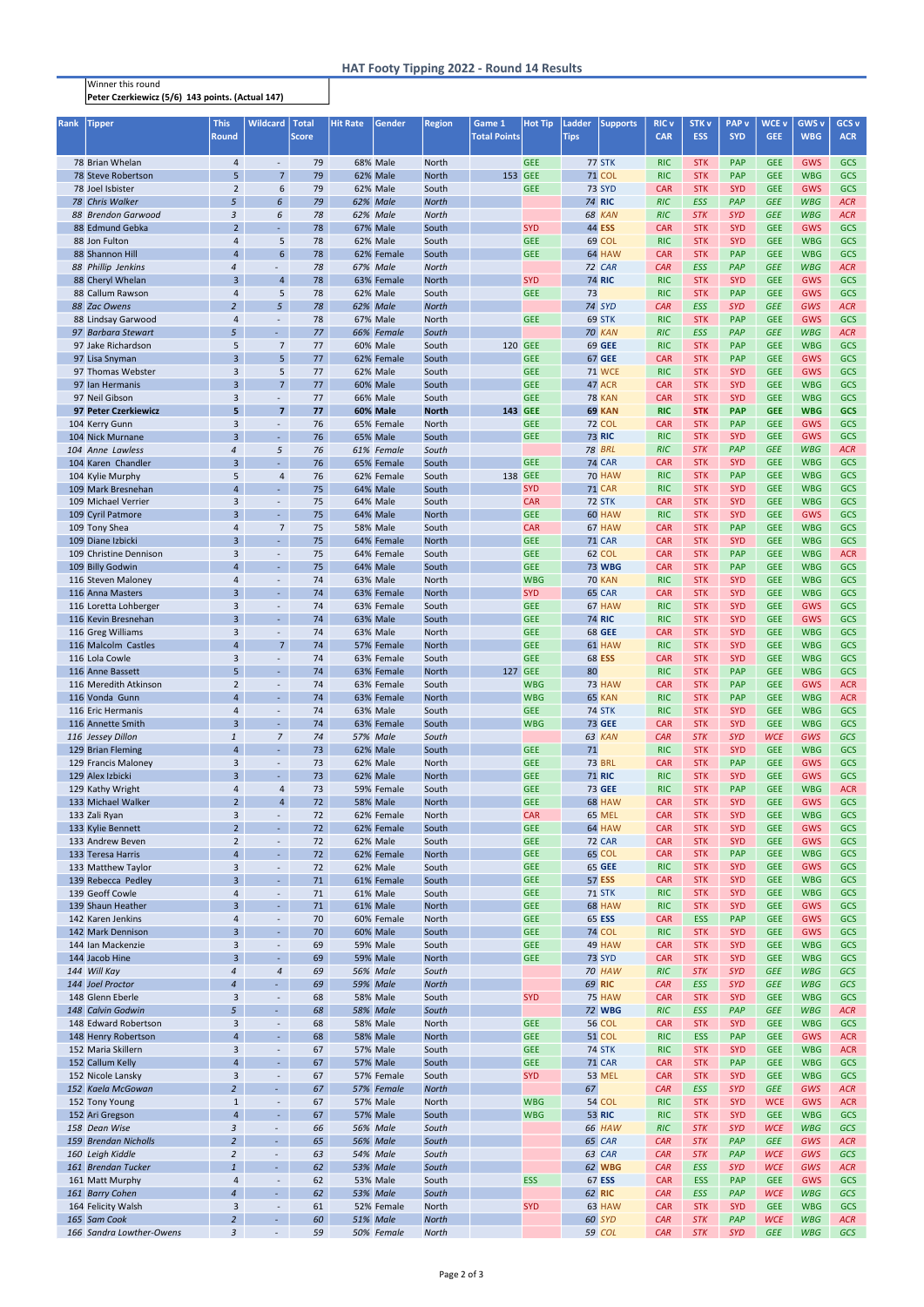## Winner this round Peter Czerkiewicz (5/6) 143 points. (Actual 147)

| <b>Rank</b> | <b>Tipper</b>            | <b>This</b>    | <b>Wildcard</b>                  | <b>Total</b> | <b>Hit Rate</b> | Gender          | <b>Region</b>         | Game 1              | <b>Hot Tip</b> | Ladder      | <b>Supports</b> | <b>RIC v</b> | <b>STK v</b> | <b>PAP</b> v | <b>WCE v</b> | <b>GWS v</b> | GCS <sub>v</sub> |
|-------------|--------------------------|----------------|----------------------------------|--------------|-----------------|-----------------|-----------------------|---------------------|----------------|-------------|-----------------|--------------|--------------|--------------|--------------|--------------|------------------|
|             |                          | Round          |                                  | <b>Score</b> |                 |                 |                       | <b>Total Points</b> |                | <b>Tips</b> |                 | <b>CAR</b>   | <b>ESS</b>   | <b>SYD</b>   | <b>GEE</b>   | <b>WBG</b>   | <b>ACR</b>       |
|             |                          |                |                                  |              |                 |                 |                       |                     |                |             |                 |              |              |              |              |              |                  |
|             | 78 Brian Whelan          | $\overline{4}$ | $\overline{\phantom{a}}$         | 79           |                 | <b>68% Male</b> | <b>North</b>          |                     | <b>GEE</b>     |             | <b>77 STK</b>   | <b>RIC</b>   | <b>STK</b>   | PAP          | <b>GEE</b>   | <b>GWS</b>   | <b>GCS</b>       |
|             | 78 Steve Robertson       | 5              | $\overline{7}$                   | 79           |                 | 62% Male        | <b>North</b>          | 153 GEE             |                |             | <b>71 COL</b>   | <b>RIC</b>   | <b>STK</b>   | PAP          | <b>GEE</b>   | <b>WBG</b>   | GCS              |
|             | 78 Joel Isbister         | $\overline{2}$ | 6                                | 79           |                 | 62% Male        | South                 |                     | <b>GEE</b>     |             | <b>73 SYD</b>   | <b>CAR</b>   | <b>STK</b>   | <b>SYD</b>   | <b>GEE</b>   | GWS          | GCS              |
|             | 78 Chris Walker          | 5              | 6                                | 79           |                 | 62% Male        | <b>North</b>          |                     |                |             | <b>74 RIC</b>   | <b>RIC</b>   | <b>ESS</b>   | PAP          | <b>GEE</b>   | <b>WBG</b>   | <b>ACR</b>       |
|             | 88 Brendon Garwood       | 3              | 6                                | 78           |                 | 62% Male        | <b>North</b>          |                     |                |             | 68 KAN          | <b>RIC</b>   | <b>STK</b>   | <b>SYD</b>   | <b>GEE</b>   | <b>WBG</b>   | <b>ACR</b>       |
|             | 88 Edmund Gebka          | $\overline{2}$ | ä,                               | 78           |                 | 67% Male        | South                 |                     | <b>SYD</b>     |             | <b>44 ESS</b>   | <b>CAR</b>   | <b>STK</b>   | <b>SYD</b>   | <b>GEE</b>   | GWS          | GCS              |
|             | 88 Jon Fulton            | 4              | 5                                | 78           |                 | 62% Male        | South                 |                     | <b>GEE</b>     |             | 69 COL          | <b>RIC</b>   | <b>STK</b>   | <b>SYD</b>   | <b>GEE</b>   | <b>WBG</b>   | GCS              |
|             | 88 Shannon Hill          | $\overline{4}$ | 6                                | 78           |                 | 62% Female      | South                 |                     | <b>GEE</b>     |             | 64 HAW          | <b>CAR</b>   | <b>STK</b>   | <b>PAP</b>   | <b>GEE</b>   | <b>WBG</b>   | GCS              |
|             | 88 Phillip Jenkins       | 4              | $\overline{\phantom{a}}$         | 78           |                 | 67% Male        | <b>North</b>          |                     |                |             | 72 CAR          | <b>CAR</b>   | <b>ESS</b>   | <b>PAP</b>   | <b>GEE</b>   | <b>WBG</b>   | <b>ACR</b>       |
|             | 88 Cheryl Whelan         | 3              | $\overline{4}$                   | 78           |                 | 63% Female      | <b>North</b>          |                     | <b>SYD</b>     |             | <b>74 RIC</b>   | <b>RIC</b>   | <b>STK</b>   | <b>SYD</b>   | <b>GEE</b>   | GWS          | <b>GCS</b>       |
|             | 88 Callum Rawson         | 4              | 5                                | 78           |                 | 62% Male        | South                 |                     | <b>GEE</b>     | 73          |                 | <b>RIC</b>   | <b>STK</b>   | <b>PAP</b>   | <b>GEE</b>   | <b>GWS</b>   | GCS              |
|             | 88 Zac Owens             | $\overline{2}$ | 5                                | 78           |                 | 62% Male        | <b>North</b>          |                     |                |             | 74 SYD          | CAR          | <b>ESS</b>   | <b>SYD</b>   | <b>GEE</b>   | GWS          | <b>ACR</b>       |
|             | 88 Lindsay Garwood       | 4              | $\overline{\phantom{a}}$         | 78           |                 | 67% Male        | <b>North</b>          |                     | <b>GEE</b>     |             | 69 STK          | <b>RIC</b>   | <b>STK</b>   | <b>PAP</b>   | <b>GEE</b>   | <b>GWS</b>   | GCS              |
|             | 97 Barbara Stewart       | 5              | $\sim$                           | 77           |                 | 66% Female      | South                 |                     |                |             | 70 KAN          | <b>RIC</b>   | <b>ESS</b>   | <b>PAP</b>   | <b>GEE</b>   | <b>WBG</b>   | <b>ACR</b>       |
|             | 97 Jake Richardson       | 5              | $\overline{7}$                   | 77           |                 | 60% Male        | South                 | 120 GEE             |                |             | <b>69 GEE</b>   | <b>RIC</b>   | <b>STK</b>   | <b>PAP</b>   | <b>GEE</b>   | <b>WBG</b>   | GCS              |
|             | 97 Lisa Snyman           | $\overline{3}$ | 5 <sup>1</sup>                   | 77           |                 | 62% Female      | South                 |                     | <b>GEE</b>     |             | <b>67 GEE</b>   | <b>CAR</b>   | <b>STK</b>   | <b>PAP</b>   | <b>GEE</b>   | <b>GWS</b>   | GCS              |
|             | 97 Thomas Webster        | 3              | 5                                | 77           |                 | 62% Male        | South                 |                     | <b>GEE</b>     |             | <b>71 WCE</b>   | <b>RIC</b>   | <b>STK</b>   | <b>SYD</b>   | <b>GEE</b>   | GWS          | GCS              |
|             | 97 Ian Hermanis          | $\overline{3}$ | 7 <sup>7</sup>                   | 77           |                 | 60% Male        | South                 |                     | <b>GEE</b>     |             | 47 ACR          | <b>CAR</b>   | <b>STK</b>   | <b>SYD</b>   | <b>GEE</b>   | <b>WBG</b>   | GCS              |
|             | 97 Neil Gibson           |                |                                  | 77           |                 |                 |                       |                     | <b>GEE</b>     |             | <b>78 KAN</b>   |              | <b>STK</b>   | <b>SYD</b>   | <b>GEE</b>   | <b>WBG</b>   | GCS              |
|             |                          | 3              | $\blacksquare$                   |              |                 | 66% Male        | South                 |                     |                |             |                 | <b>CAR</b>   |              |              |              |              |                  |
|             | 97 Peter Czerkiewicz     | 5              | 7 <sup>7</sup>                   | 77           |                 | 60% Male        | <b>North</b>          | 143 GEE             |                |             | 69 KAN          | <b>RIC</b>   | <b>STK</b>   | <b>PAP</b>   | <b>GEE</b>   | <b>WBG</b>   | <b>GCS</b>       |
|             | 104 Kerry Gunn           | 3              | $\overline{\phantom{a}}$         | 76           |                 | 65% Female      | <b>North</b>          |                     | <b>GEE</b>     |             | <b>72 COL</b>   | <b>CAR</b>   | <b>STK</b>   | PAP          | <b>GEE</b>   | GWS          | GCS              |
|             | 104 Nick Murnane         | 3              | $\omega_{\rm c}$                 | 76           |                 | 65% Male        | South                 |                     | <b>GEE</b>     |             | <b>73 RIC</b>   | <b>RIC</b>   | <b>STK</b>   | <b>SYD</b>   | <b>GEE</b>   | GWS          | GCS              |
|             | 104 Anne Lawless         | 4              | 5                                | 76           |                 | 61% Female      | South                 |                     |                |             | <b>78 BRL</b>   | <b>RIC</b>   | <b>STK</b>   | PAP          | <b>GEE</b>   | <b>WBG</b>   | <b>ACR</b>       |
|             | 104 Karen Chandler       | 3              | ÷.                               | 76           |                 | 65% Female      | South                 |                     | <b>GEE</b>     |             | <b>74 CAR</b>   | <b>CAR</b>   | <b>STK</b>   | <b>SYD</b>   | <b>GEE</b>   | <b>WBG</b>   | GCS              |
|             | 104 Kylie Murphy         | 5              | $\overline{4}$                   | 76           |                 | 62% Female      | South                 | 138 GEE             |                |             | <b>70 HAW</b>   | <b>RIC</b>   | <b>STK</b>   | PAP          | <b>GEE</b>   | <b>WBG</b>   | GCS              |
|             | 109 Mark Bresnehan       | $\overline{4}$ | $\omega_{\rm c}$                 | 75           |                 | 64% Male        | South                 |                     | <b>SYD</b>     |             | <b>71 CAR</b>   | <b>RIC</b>   | <b>STK</b>   | <b>SYD</b>   | <b>GEE</b>   | <b>WBG</b>   | GCS              |
|             | 109 Michael Verrier      | 3              | $\overline{\phantom{a}}$         | 75           |                 | 64% Male        | South                 |                     | <b>CAR</b>     |             | 72 STK          | <b>CAR</b>   | <b>STK</b>   | <b>SYD</b>   | <b>GEE</b>   | <b>WBG</b>   | GCS              |
|             | 109 Cyril Patmore        | 3              | $\blacksquare$                   | 75           |                 | 64% Male        | <b>North</b>          |                     | <b>GEE</b>     |             | 60 HAW          | <b>RIC</b>   | <b>STK</b>   | <b>SYD</b>   | <b>GEE</b>   | GWS          | GCS              |
|             | 109 Tony Shea            | 4              | $\overline{7}$                   | 75           |                 | <b>58% Male</b> | South                 |                     | <b>CAR</b>     |             | 67 HAW          | <b>CAR</b>   | <b>STK</b>   | PAP          | <b>GEE</b>   | <b>WBG</b>   | GCS              |
|             | 109 Diane Izbicki        | 3              | $\omega_{\rm c}$                 | 75           |                 | 64% Female      | <b>North</b>          |                     | <b>GEE</b>     |             | <b>71 CAR</b>   | <b>CAR</b>   | <b>STK</b>   | <b>SYD</b>   | <b>GEE</b>   | <b>WBG</b>   | GCS              |
|             | 109 Christine Dennison   | 3              | $\overline{\phantom{a}}$         | 75           |                 | 64% Female      | South                 |                     | <b>GEE</b>     |             | 62 COL          | <b>CAR</b>   | <b>STK</b>   | <b>PAP</b>   | <b>GEE</b>   | <b>WBG</b>   | <b>ACR</b>       |
|             | 109 Billy Godwin         | $\overline{4}$ | $\sim$                           | 75           |                 | 64% Male        | South                 |                     | <b>GEE</b>     |             | <b>73 WBG</b>   | <b>CAR</b>   | <b>STK</b>   | <b>PAP</b>   | <b>GEE</b>   | <b>WBG</b>   | GCS              |
|             | 116 Steven Maloney       | 4              | $\overline{\phantom{a}}$         | 74           |                 | <b>63% Male</b> | <b>North</b>          |                     | <b>WBG</b>     |             | <b>70 KAN</b>   | <b>RIC</b>   | <b>STK</b>   | <b>SYD</b>   | <b>GEE</b>   | <b>WBG</b>   | GCS              |
|             | 116 Anna Masters         | $\overline{3}$ | $\blacksquare$                   | 74           |                 | 63% Female      | <b>North</b>          |                     | <b>SYD</b>     |             | 65 CAR          | <b>CAR</b>   | <b>STK</b>   | <b>SYD</b>   | <b>GEE</b>   | <b>WBG</b>   | GCS              |
|             | 116 Loretta Lohberger    | 3              |                                  | 74           |                 | 63% Female      | South                 |                     | <b>GEE</b>     |             | 67 HAW          | <b>RIC</b>   | <b>STK</b>   | <b>SYD</b>   | <b>GEE</b>   | <b>GWS</b>   | <b>GCS</b>       |
|             | 116 Kevin Bresnehan      | 3              | $\blacksquare$                   | 74           |                 | <b>63% Male</b> | South                 |                     | <b>GEE</b>     |             | <b>74 RIC</b>   | <b>RIC</b>   | <b>STK</b>   | <b>SYD</b>   | <b>GEE</b>   | <b>GWS</b>   | <b>GCS</b>       |
|             | 116 Greg Williams        | 3              | $\overline{\phantom{a}}$         | 74           |                 | <b>63% Male</b> | <b>North</b>          |                     | <b>GEE</b>     |             | <b>68 GEE</b>   | <b>CAR</b>   | <b>STK</b>   | <b>SYD</b>   | <b>GEE</b>   | <b>WBG</b>   | <b>GCS</b>       |
|             | 116 Malcolm Castles      | 4              | 7 <sup>2</sup>                   | 74           |                 | 57% Female      | <b>North</b>          |                     | <b>GEE</b>     |             | 61 HAW          | <b>RIC</b>   | <b>STK</b>   | <b>SYD</b>   | <b>GEE</b>   | <b>WBG</b>   | <b>GCS</b>       |
|             | 116 Lola Cowle           | 3              | $\overline{\phantom{a}}$         | 74           |                 | 63% Female      | South                 |                     | <b>GEE</b>     |             | <b>68 ESS</b>   | <b>CAR</b>   | <b>STK</b>   | <b>SYD</b>   | <b>GEE</b>   | <b>WBG</b>   | GCS              |
|             | 116 Anne Bassett         | 5              | $\sim$                           | 74           |                 | 63% Female      | <b>North</b>          | 127 GEE             |                | 80          |                 | <b>RIC</b>   | <b>STK</b>   | <b>PAP</b>   | <b>GEE</b>   | <b>WBG</b>   | GCS              |
|             | 116 Meredith Atkinson    | $\overline{2}$ | $\overline{\phantom{a}}$         | 74           |                 | 63% Female      | South                 |                     | <b>WBG</b>     |             | 73 HAW          | <b>CAR</b>   | <b>STK</b>   | <b>PAP</b>   | <b>GEE</b>   | <b>GWS</b>   | <b>ACR</b>       |
|             | 116 Vonda Gunn           | $\overline{4}$ | $\mathcal{L}_{\mathcal{A}}$      | 74           |                 | 63% Female      | <b>North</b>          |                     | <b>WBG</b>     |             | 65 KAN          | <b>RIC</b>   | <b>STK</b>   | <b>PAP</b>   | <b>GEE</b>   | <b>WBG</b>   | <b>ACR</b>       |
|             | 116 Eric Hermanis        | 4              | $\blacksquare$                   | 74           |                 | 63% Male        | South                 |                     | <b>GEE</b>     |             | <b>74 STK</b>   | <b>RIC</b>   | <b>STK</b>   | <b>SYD</b>   | <b>GEE</b>   | <b>WBG</b>   | GCS              |
|             | 116 Annette Smith        | $\overline{3}$ | ÷.                               | 74           |                 | 63% Female      | South                 |                     | <b>WBG</b>     |             | <b>73 GEE</b>   | <b>CAR</b>   | <b>STK</b>   | <b>SYD</b>   | <b>GEE</b>   | <b>WBG</b>   | GCS              |
|             | 116 Jessey Dillon        | $\mathbf{1}$   | $\overline{7}$                   | 74           |                 | <b>57% Male</b> | South                 |                     |                |             | 63 KAN          | CAR          | <b>STK</b>   | <b>SYD</b>   | <b>WCE</b>   | GWS          | <b>GCS</b>       |
|             | 129 Brian Fleming        | $\overline{4}$ | ä,                               | 73           |                 | <b>62% Male</b> | South                 |                     | <b>GEE</b>     | 71          |                 | <b>RIC</b>   | <b>STK</b>   | <b>SYD</b>   | <b>GEE</b>   | <b>WBG</b>   | GCS              |
|             | 129 Francis Maloney      | 3              | $\overline{\phantom{a}}$         | 73           |                 | 62% Male        | <b>North</b>          |                     | <b>GEE</b>     |             | <b>73 BRL</b>   | <b>CAR</b>   | <b>STK</b>   | PAP          | <b>GEE</b>   | <b>GWS</b>   | GCS              |
|             | 129 Alex Izbicki         | 3              | $\omega_{\rm c}$                 | 73           |                 | 62% Male        | <b>North</b>          |                     | <b>GEE</b>     |             | <b>71 RIC</b>   | <b>RIC</b>   | <b>STK</b>   | <b>SYD</b>   | <b>GEE</b>   | <b>GWS</b>   | GCS              |
|             |                          |                |                                  |              |                 |                 |                       |                     | <b>GEE</b>     |             | 73 GEE          | <b>RIC</b>   | <b>STK</b>   | PAP          | <b>GEE</b>   | <b>WBG</b>   | <b>ACR</b>       |
|             | 129 Kathy Wright         | 4              | $\overline{4}$<br>$\overline{4}$ | 73<br>72     |                 | 59% Female      | South<br><b>North</b> |                     |                |             |                 |              |              | <b>SYD</b>   | <b>GEE</b>   |              | <b>GCS</b>       |
|             | 133 Michael Walker       | $\overline{2}$ |                                  |              |                 | <b>58% Male</b> |                       |                     | <b>GEE</b>     |             | 68 HAW          | <b>CAR</b>   | <b>STK</b>   |              |              | <b>GWS</b>   |                  |
|             | 133 Zali Ryan            | 3              | $\overline{\phantom{a}}$         | 72           |                 | 62% Female      | <b>North</b>          |                     | <b>CAR</b>     |             | 65 MEL          | <b>CAR</b>   | <b>STK</b>   | <b>SYD</b>   | <b>GEE</b>   | <b>WBG</b>   | <b>GCS</b>       |
|             | 133 Kylie Bennett        | $\overline{2}$ | ÷.                               | 72           |                 | 62% Female      | South                 |                     | <b>GEE</b>     |             | 64 HAW          | <b>CAR</b>   | <b>STK</b>   | <b>SYD</b>   | <b>GEE</b>   | <b>GWS</b>   | GCS              |
|             | 133 Andrew Beven         | $\overline{2}$ | $\blacksquare$                   | 72           |                 | 62% Male        | South                 |                     | <b>GEE</b>     |             | <b>72 CAR</b>   | <b>CAR</b>   | <b>STK</b>   | <b>SYD</b>   | <b>GEE</b>   | <b>GWS</b>   | <b>GCS</b>       |
|             | 133 Teresa Harris        | $\overline{4}$ | $\omega$                         | 72           |                 | 62% Female      | <b>North</b>          |                     | <b>GEE</b>     |             | 65 COL          | <b>CAR</b>   | <b>STK</b>   | PAP          | <b>GEE</b>   | <b>WBG</b>   | <b>GCS</b>       |
|             | 133 Matthew Taylor       | 3              | $\blacksquare$                   | 72           |                 | 62% Male        | South                 |                     | <b>GEE</b>     |             | <b>65 GEE</b>   | <b>RIC</b>   | <b>STK</b>   | <b>SYD</b>   | <b>GEE</b>   | GWS          | <b>GCS</b>       |
|             | 139 Rebecca Pedley       | $\overline{3}$ | $\omega$                         | 71           |                 | 61% Female      | South                 |                     | <b>GEE</b>     |             | <b>57 ESS</b>   | <b>CAR</b>   | <b>STK</b>   | <b>SYD</b>   | <b>GEE</b>   | <b>WBG</b>   | <b>GCS</b>       |
|             | 139 Geoff Cowle          | 4              | $\blacksquare$                   | 71           |                 | 61% Male        | South                 |                     | <b>GEE</b>     |             | <b>71 STK</b>   | <b>RIC</b>   | <b>STK</b>   | <b>SYD</b>   | <b>GEE</b>   | <b>WBG</b>   | GCS              |
|             | 139 Shaun Heather        | $\overline{3}$ | $\omega$                         | 71           |                 | 61% Male        | <b>North</b>          |                     | <b>GEE</b>     |             | 68 HAW          | <b>RIC</b>   | <b>STK</b>   | <b>SYD</b>   | <b>GEE</b>   | GWS          | <b>GCS</b>       |
|             | 142 Karen Jenkins        | 4              | $\overline{\phantom{a}}$         | 70           |                 | 60% Female      | <b>North</b>          |                     | <b>GEE</b>     |             | 65 ESS          | <b>CAR</b>   | <b>ESS</b>   | <b>PAP</b>   | <b>GEE</b>   | <b>GWS</b>   | <b>GCS</b>       |
|             | 142 Mark Dennison        | 3              | ä,                               | 70           |                 | 60% Male        | South                 |                     | <b>GEE</b>     |             | <b>74 COL</b>   | <b>RIC</b>   | <b>STK</b>   | <b>SYD</b>   | <b>GEE</b>   | <b>GWS</b>   | <b>GCS</b>       |
|             | 144 Ian Mackenzie        | 3              | $\overline{\phantom{a}}$         | 69           |                 | <b>59% Male</b> | South                 |                     | <b>GEE</b>     |             | 49 HAW          | <b>CAR</b>   | <b>STK</b>   | <b>SYD</b>   | <b>GEE</b>   | <b>WBG</b>   | <b>GCS</b>       |
|             | 144 Jacob Hine           | 3              | $\blacksquare$                   | 69           |                 | <b>59% Male</b> | <b>North</b>          |                     | <b>GEE</b>     |             | <b>73 SYD</b>   | <b>CAR</b>   | <b>STK</b>   | <b>SYD</b>   | <b>GEE</b>   | <b>WBG</b>   | <b>GCS</b>       |
|             | 144 Will Kay             | 4              | $\sqrt{4}$                       | 69           |                 | <b>56% Male</b> | South                 |                     |                |             | 70 HAW          | RIC          | <b>STK</b>   | <b>SYD</b>   | <b>GEE</b>   | <b>WBG</b>   | <b>GCS</b>       |
|             | 144 Joel Proctor         | 4              | $\omega$                         | 69           |                 | <b>59% Male</b> | <b>North</b>          |                     |                |             | 69 RIC          | CAR          | <b>ESS</b>   | <b>SYD</b>   | <b>GEE</b>   | <b>WBG</b>   | <b>GCS</b>       |
|             | 148 Glenn Eberle         | 3              | $\blacksquare$                   | 68           |                 | <b>58% Male</b> | South                 |                     | <b>SYD</b>     |             | <b>75 HAW</b>   | <b>CAR</b>   | <b>STK</b>   | <b>SYD</b>   | <b>GEE</b>   | <b>WBG</b>   | <b>GCS</b>       |
|             | 148 Calvin Godwin        | 5              | $\sim$                           | 68           |                 | <b>58% Male</b> | South                 |                     |                |             | <b>72 WBG</b>   | <b>RIC</b>   | <b>ESS</b>   | <b>PAP</b>   | <b>GEE</b>   | <b>WBG</b>   | <b>ACR</b>       |
|             | 148 Edward Robertson     | 3              | $\blacksquare$                   | 68           |                 | <b>58% Male</b> | North                 |                     | <b>GEE</b>     |             | <b>56 COL</b>   | <b>CAR</b>   | <b>STK</b>   | <b>SYD</b>   | <b>GEE</b>   | <b>WBG</b>   | <b>GCS</b>       |
|             | 148 Henry Robertson      | $\overline{4}$ | $\omega$                         | 68           |                 | <b>58% Male</b> | North                 |                     | <b>GEE</b>     |             | <b>51 COL</b>   | <b>RIC</b>   | <b>ESS</b>   | PAP          | <b>GEE</b>   | GWS          | <b>ACR</b>       |
|             | 152 Maria Skillern       | 3              | $\overline{\phantom{a}}$         | 67           |                 | <b>57% Male</b> | South                 |                     | <b>GEE</b>     |             | <b>74 STK</b>   | <b>RIC</b>   | <b>STK</b>   | <b>SYD</b>   | <b>GEE</b>   | <b>WBG</b>   | <b>ACR</b>       |
|             | 152 Callum Kelly         | $\overline{4}$ | $\omega$                         | 67           |                 | <b>57% Male</b> | South                 |                     | <b>GEE</b>     |             | <b>71 CAR</b>   | <b>CAR</b>   | <b>STK</b>   | PAP          | <b>GEE</b>   | <b>WBG</b>   | <b>GCS</b>       |
|             | 152 Nicole Lansky        | 3              | $\overline{\phantom{a}}$         | 67           |                 | 57% Female      | South                 |                     | <b>SYD</b>     |             | <b>53 MEL</b>   | <b>CAR</b>   | <b>STK</b>   | <b>SYD</b>   | <b>GEE</b>   | <b>WBG</b>   | <b>GCS</b>       |
|             | 152 Kaela McGowan        | $\overline{2}$ | $\omega$                         | 67           |                 | 57% Female      | <b>North</b>          |                     |                | 67          |                 | CAR          | <b>ESS</b>   | <b>SYD</b>   | <b>GEE</b>   | GWS          | <b>ACR</b>       |
|             | 152 Tony Young           | $\mathbf{1}$   | $\overline{\phantom{a}}$         | 67           |                 | <b>57% Male</b> | <b>North</b>          |                     | <b>WBG</b>     |             | 54 COL          | <b>RIC</b>   | <b>STK</b>   | <b>SYD</b>   | <b>WCE</b>   | <b>GWS</b>   | <b>ACR</b>       |
|             | 152 Ari Gregson          | 4              | $\blacksquare$                   | 67           |                 | <b>57% Male</b> | South                 |                     | <b>WBG</b>     |             | <b>53 RIC</b>   | <b>RIC</b>   | <b>STK</b>   | <b>SYD</b>   | <b>GEE</b>   | <b>WBG</b>   | <b>GCS</b>       |
|             | 158 Dean Wise            | 3              | $\overline{\phantom{a}}$         | 66           |                 | <b>56% Male</b> | South                 |                     |                |             | 66 HAW          | RIC          | <b>STK</b>   | <b>SYD</b>   | <b>WCE</b>   | <b>WBG</b>   | GCS              |
|             | 159 Brendan Nicholls     | $\overline{a}$ | $\overline{\phantom{a}}$         | 65           |                 | <b>56% Male</b> | South                 |                     |                |             | 65 CAR          | CAR          | <b>STK</b>   | PAP          | <b>GEE</b>   | <b>GWS</b>   | ACR              |
|             | 160 Leigh Kiddle         | $\overline{a}$ | $\overline{\phantom{a}}$         | 63           |                 | 54% Male        | South                 |                     |                |             | 63 CAR          | CAR          | <b>STK</b>   | PAP          | <b>WCE</b>   | <b>GWS</b>   | GCS              |
|             | 161 Brendan Tucker       | $\mathbf{1}$   | $\overline{\phantom{a}}$         | 62           |                 | 53% Male        | South                 |                     |                |             | 62 WBG          | CAR          | <b>ESS</b>   | <b>SYD</b>   | <b>WCE</b>   | GWS          | ACR              |
|             | 161 Matt Murphy          | 4              | $\overline{\phantom{a}}$         | 62           |                 | <b>53% Male</b> | South                 |                     | <b>ESS</b>     |             | 67 ESS          | <b>CAR</b>   | <b>ESS</b>   | <b>PAP</b>   | <b>GEE</b>   | <b>GWS</b>   | GCS              |
|             | 161 Barry Cohen          | $\overline{a}$ | $\overline{\phantom{a}}$         | 62           |                 | 53% Male        | South                 |                     |                |             | 62 RIC          | CAR          | <b>ESS</b>   | PAP          | <b>WCE</b>   | <b>WBG</b>   | GCS              |
|             | 164 Felicity Walsh       | 3              | $\blacksquare$                   | 61           |                 | 52% Female      | <b>North</b>          |                     | <b>SYD</b>     |             | 63 HAW          | <b>CAR</b>   | <b>STK</b>   | <b>SYD</b>   | <b>GEE</b>   | <b>WBG</b>   | GCS              |
|             | 165 Sam Cook             | $\overline{a}$ | $\omega_{\rm c}$                 | 60           |                 | <b>51% Male</b> | <b>North</b>          |                     |                |             | 60 SYD          | CAR          | <b>STK</b>   | <b>PAP</b>   | <b>WCE</b>   | <b>WBG</b>   | ACR              |
|             | 166 Sandra Lowther-Owens | 3              | $\sim$                           | 59           |                 | 50% Female      | <b>North</b>          |                     |                |             | 59 COL          | CAR          | <b>STK</b>   | <b>SYD</b>   | <b>GEE</b>   | <b>WBG</b>   | GCS              |
|             |                          |                |                                  |              |                 |                 |                       |                     |                |             |                 |              |              |              |              |              |                  |